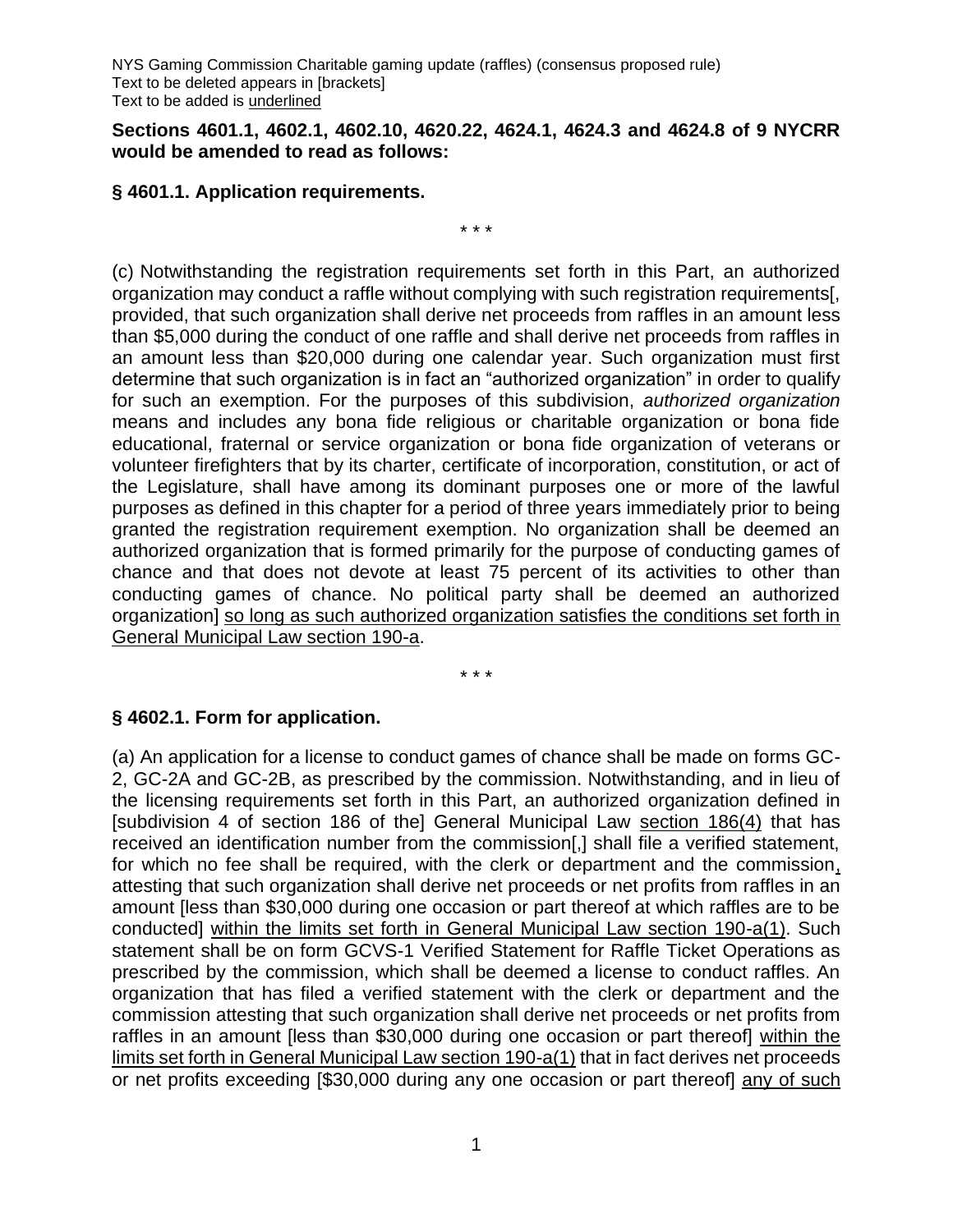#### **Sections 4601.1, 4602.1, 4602.10, 4620.22, 4624.1, 4624.3 and 4624.8 of 9 NYCRR would be amended to read as follows:**

## **§ 4601.1. Application requirements.**

\* \* \*

(c) Notwithstanding the registration requirements set forth in this Part, an authorized organization may conduct a raffle without complying with such registration requirements[, provided, that such organization shall derive net proceeds from raffles in an amount less than \$5,000 during the conduct of one raffle and shall derive net proceeds from raffles in an amount less than \$20,000 during one calendar year. Such organization must first determine that such organization is in fact an "authorized organization" in order to qualify for such an exemption. For the purposes of this subdivision, *authorized organization* means and includes any bona fide religious or charitable organization or bona fide educational, fraternal or service organization or bona fide organization of veterans or volunteer firefighters that by its charter, certificate of incorporation, constitution, or act of the Legislature, shall have among its dominant purposes one or more of the lawful purposes as defined in this chapter for a period of three years immediately prior to being granted the registration requirement exemption. No organization shall be deemed an authorized organization that is formed primarily for the purpose of conducting games of chance and that does not devote at least 75 percent of its activities to other than conducting games of chance. No political party shall be deemed an authorized organization] so long as such authorized organization satisfies the conditions set forth in General Municipal Law section 190-a.

\* \* \*

#### **§ 4602.1. Form for application.**

(a) An application for a license to conduct games of chance shall be made on forms GC-2, GC-2A and GC-2B, as prescribed by the commission. Notwithstanding, and in lieu of the licensing requirements set forth in this Part, an authorized organization defined in [subdivision 4 of section 186 of the] General Municipal Law section 186(4) that has received an identification number from the commission[,] shall file a verified statement, for which no fee shall be required, with the clerk or department and the commission, attesting that such organization shall derive net proceeds or net profits from raffles in an amount [less than \$30,000 during one occasion or part thereof at which raffles are to be conducted] within the limits set forth in General Municipal Law section 190-a(1). Such statement shall be on form GCVS-1 Verified Statement for Raffle Ticket Operations as prescribed by the commission, which shall be deemed a license to conduct raffles. An organization that has filed a verified statement with the clerk or department and the commission attesting that such organization shall derive net proceeds or net profits from raffles in an amount [less than \$30,000 during one occasion or part thereof] within the limits set forth in General Municipal Law section 190-a(1) that in fact derives net proceeds or net profits exceeding [\$30,000 during any one occasion or part thereof] any of such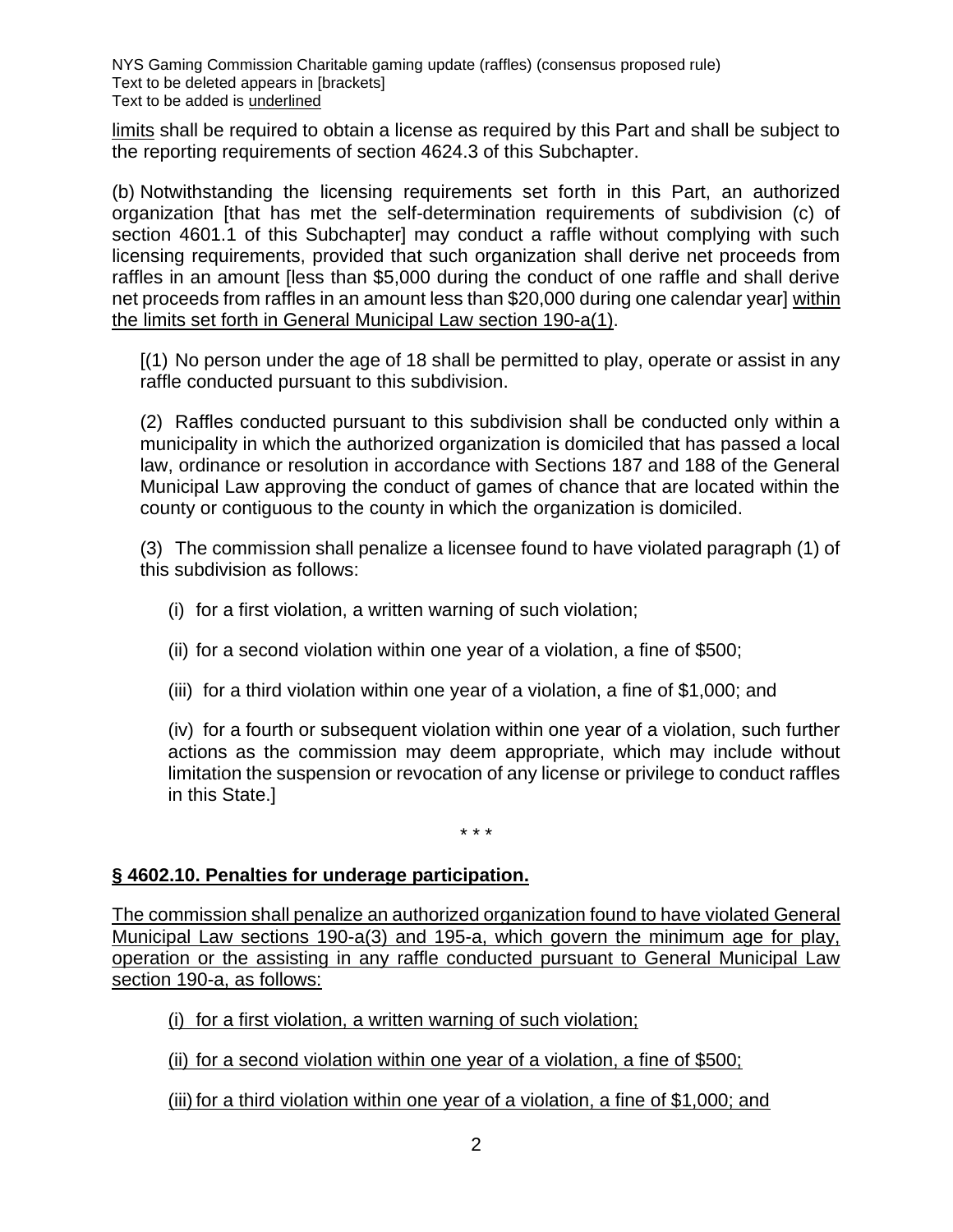limits shall be required to obtain a license as required by this Part and shall be subject to the reporting requirements of section 4624.3 of this Subchapter.

(b) Notwithstanding the licensing requirements set forth in this Part, an authorized organization [that has met the self-determination requirements of subdivision (c) of section 4601.1 of this Subchapter] may conduct a raffle without complying with such licensing requirements, provided that such organization shall derive net proceeds from raffles in an amount [less than \$5,000 during the conduct of one raffle and shall derive net proceeds from raffles in an amount less than \$20,000 during one calendar year] within the limits set forth in General Municipal Law section 190-a(1).

[(1) No person under the age of 18 shall be permitted to play, operate or assist in any raffle conducted pursuant to this subdivision.

(2) Raffles conducted pursuant to this subdivision shall be conducted only within a municipality in which the authorized organization is domiciled that has passed a local law, ordinance or resolution in accordance with Sections 187 and 188 of the General Municipal Law approving the conduct of games of chance that are located within the county or contiguous to the county in which the organization is domiciled.

(3) The commission shall penalize a licensee found to have violated paragraph (1) of this subdivision as follows:

- (i) for a first violation, a written warning of such violation;
- (ii) for a second violation within one year of a violation, a fine of \$500;
- (iii) for a third violation within one year of a violation, a fine of \$1,000; and

(iv) for a fourth or subsequent violation within one year of a violation, such further actions as the commission may deem appropriate, which may include without limitation the suspension or revocation of any license or privilege to conduct raffles in this State.]

\* \* \*

# **§ 4602.10. Penalties for underage participation.**

The commission shall penalize an authorized organization found to have violated General Municipal Law sections 190-a(3) and 195-a, which govern the minimum age for play, operation or the assisting in any raffle conducted pursuant to General Municipal Law section 190-a, as follows:

(i) for a first violation, a written warning of such violation;

(ii) for a second violation within one year of a violation, a fine of \$500;

(iii) for a third violation within one year of a violation, a fine of \$1,000; and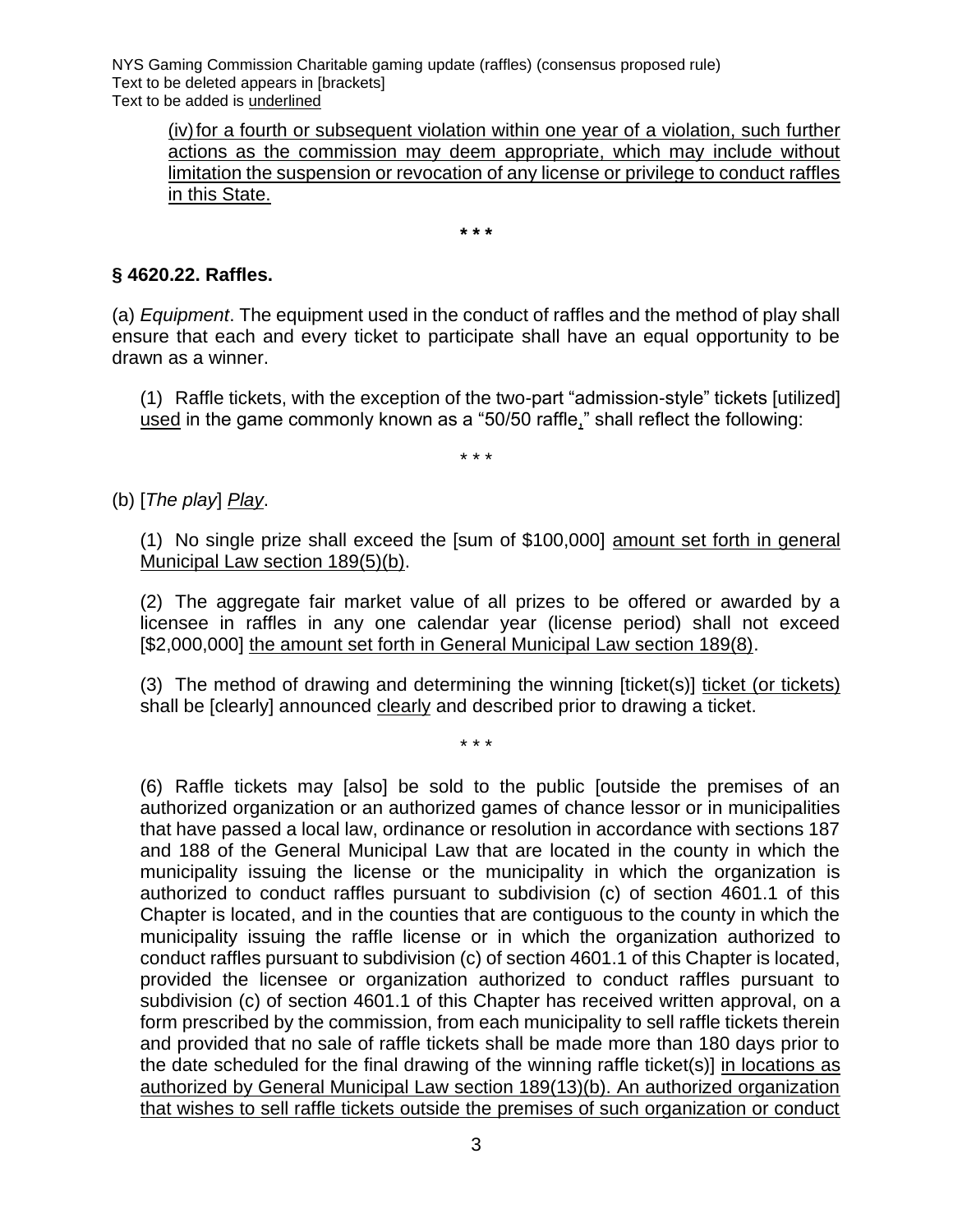(iv)for a fourth or subsequent violation within one year of a violation, such further actions as the commission may deem appropriate, which may include without limitation the suspension or revocation of any license or privilege to conduct raffles in this State.

**\* \* \***

## **§ 4620.22. Raffles.**

(a) *Equipment*. The equipment used in the conduct of raffles and the method of play shall ensure that each and every ticket to participate shall have an equal opportunity to be drawn as a winner.

(1) Raffle tickets, with the exception of the two-part "admission-style" tickets [utilized] used in the game commonly known as a "50/50 raffle," shall reflect the following:

\* \* \*

(b) [*The play*] *Play*.

(1) No single prize shall exceed the [sum of \$100,000] amount set forth in general Municipal Law section 189(5)(b).

(2) The aggregate fair market value of all prizes to be offered or awarded by a licensee in raffles in any one calendar year (license period) shall not exceed [\$2,000,000] the amount set forth in General Municipal Law section 189(8).

(3) The method of drawing and determining the winning [ticket(s)] ticket (or tickets) shall be [clearly] announced clearly and described prior to drawing a ticket.

\* \* \*

(6) Raffle tickets may [also] be sold to the public [outside the premises of an authorized organization or an authorized games of chance lessor or in municipalities that have passed a local law, ordinance or resolution in accordance with sections 187 and 188 of the General Municipal Law that are located in the county in which the municipality issuing the license or the municipality in which the organization is authorized to conduct raffles pursuant to subdivision (c) of section 4601.1 of this Chapter is located, and in the counties that are contiguous to the county in which the municipality issuing the raffle license or in which the organization authorized to conduct raffles pursuant to subdivision (c) of section 4601.1 of this Chapter is located, provided the licensee or organization authorized to conduct raffles pursuant to subdivision (c) of section 4601.1 of this Chapter has received written approval, on a form prescribed by the commission, from each municipality to sell raffle tickets therein and provided that no sale of raffle tickets shall be made more than 180 days prior to the date scheduled for the final drawing of the winning raffle ticket(s)] in locations as authorized by General Municipal Law section 189(13)(b). An authorized organization that wishes to sell raffle tickets outside the premises of such organization or conduct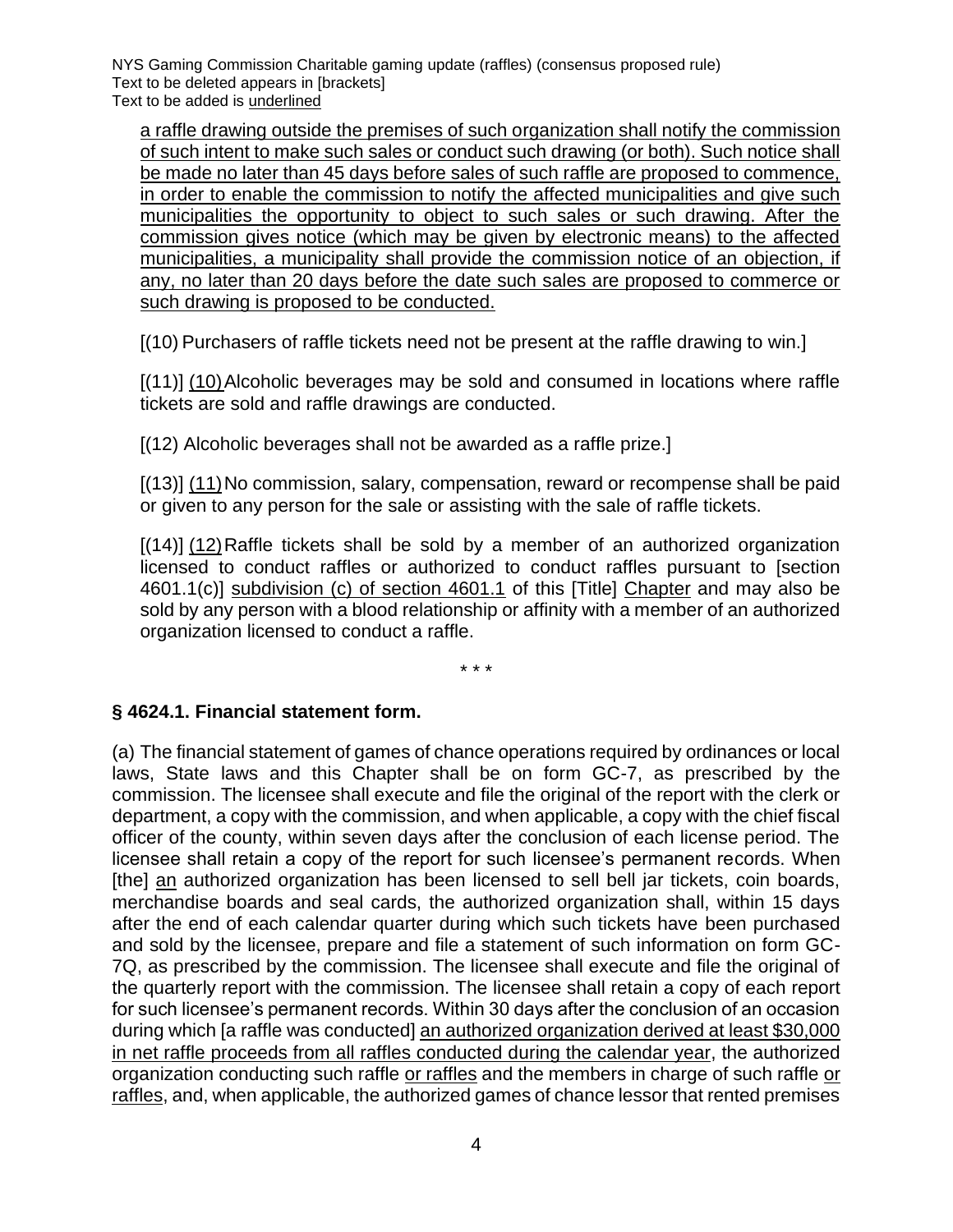a raffle drawing outside the premises of such organization shall notify the commission of such intent to make such sales or conduct such drawing (or both). Such notice shall be made no later than 45 days before sales of such raffle are proposed to commence, in order to enable the commission to notify the affected municipalities and give such municipalities the opportunity to object to such sales or such drawing. After the commission gives notice (which may be given by electronic means) to the affected municipalities, a municipality shall provide the commission notice of an objection, if any, no later than 20 days before the date such sales are proposed to commerce or such drawing is proposed to be conducted.

[(10) Purchasers of raffle tickets need not be present at the raffle drawing to win.]

[(11)] (10)Alcoholic beverages may be sold and consumed in locations where raffle tickets are sold and raffle drawings are conducted.

[(12) Alcoholic beverages shall not be awarded as a raffle prize.]

[(13)] (11) No commission, salary, compensation, reward or recompense shall be paid or given to any person for the sale or assisting with the sale of raffle tickets.

[(14)] (12)Raffle tickets shall be sold by a member of an authorized organization licensed to conduct raffles or authorized to conduct raffles pursuant to [section 4601.1(c)] subdivision (c) of section 4601.1 of this [Title] Chapter and may also be sold by any person with a blood relationship or affinity with a member of an authorized organization licensed to conduct a raffle.

\* \* \*

#### **§ 4624.1. Financial statement form.**

(a) The financial statement of games of chance operations required by ordinances or local laws, State laws and this Chapter shall be on form GC-7, as prescribed by the commission. The licensee shall execute and file the original of the report with the clerk or department, a copy with the commission, and when applicable, a copy with the chief fiscal officer of the county, within seven days after the conclusion of each license period. The licensee shall retain a copy of the report for such licensee's permanent records. When [the] an authorized organization has been licensed to sell bell jar tickets, coin boards, merchandise boards and seal cards, the authorized organization shall, within 15 days after the end of each calendar quarter during which such tickets have been purchased and sold by the licensee, prepare and file a statement of such information on form GC-7Q, as prescribed by the commission. The licensee shall execute and file the original of the quarterly report with the commission. The licensee shall retain a copy of each report for such licensee's permanent records. Within 30 days after the conclusion of an occasion during which [a raffle was conducted] an authorized organization derived at least \$30,000 in net raffle proceeds from all raffles conducted during the calendar year, the authorized organization conducting such raffle or raffles and the members in charge of such raffle or raffles, and, when applicable, the authorized games of chance lessor that rented premises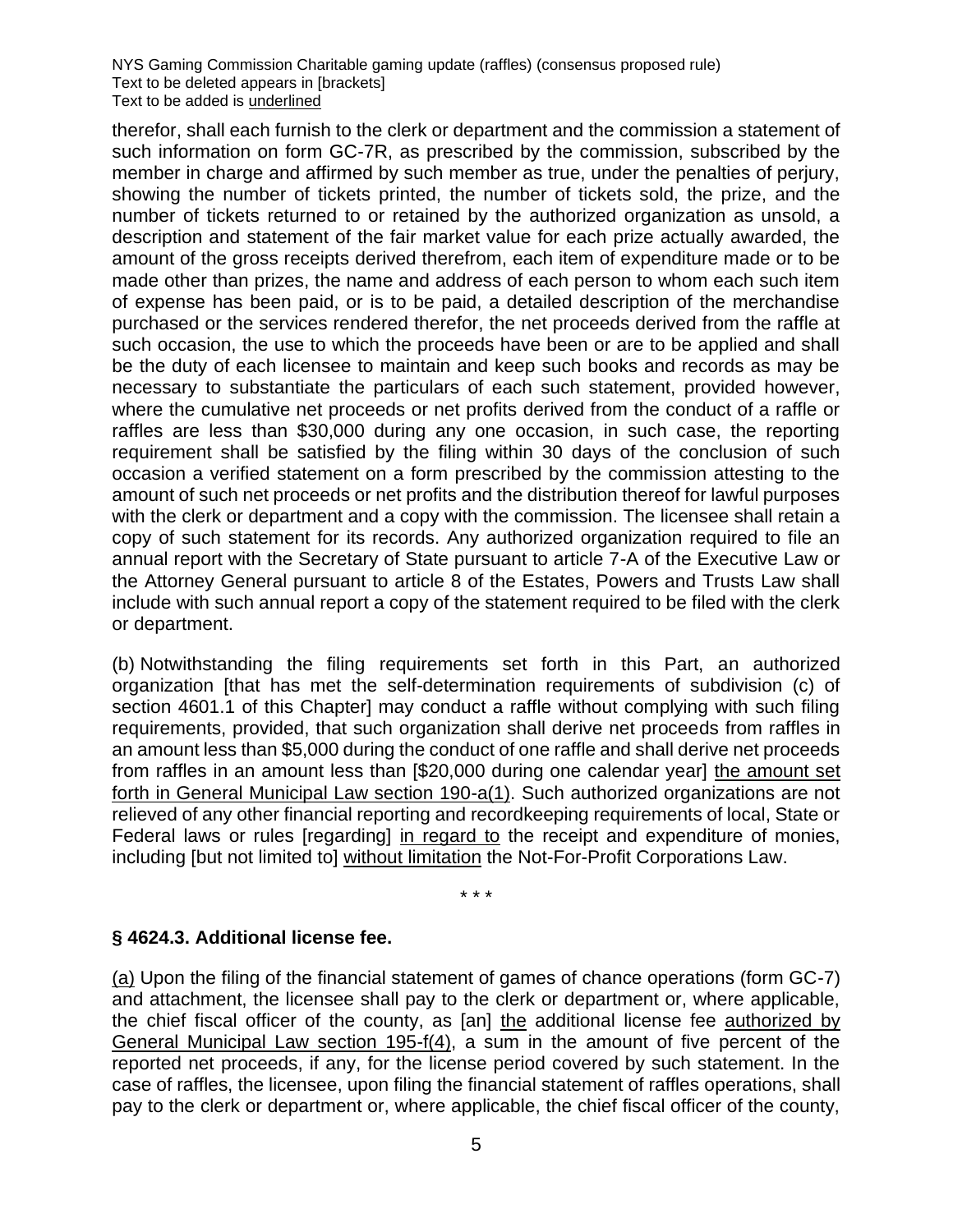therefor, shall each furnish to the clerk or department and the commission a statement of such information on form GC-7R, as prescribed by the commission, subscribed by the member in charge and affirmed by such member as true, under the penalties of perjury, showing the number of tickets printed, the number of tickets sold, the prize, and the number of tickets returned to or retained by the authorized organization as unsold, a description and statement of the fair market value for each prize actually awarded, the amount of the gross receipts derived therefrom, each item of expenditure made or to be made other than prizes, the name and address of each person to whom each such item of expense has been paid, or is to be paid, a detailed description of the merchandise purchased or the services rendered therefor, the net proceeds derived from the raffle at such occasion, the use to which the proceeds have been or are to be applied and shall be the duty of each licensee to maintain and keep such books and records as may be necessary to substantiate the particulars of each such statement, provided however, where the cumulative net proceeds or net profits derived from the conduct of a raffle or raffles are less than \$30,000 during any one occasion, in such case, the reporting requirement shall be satisfied by the filing within 30 days of the conclusion of such occasion a verified statement on a form prescribed by the commission attesting to the amount of such net proceeds or net profits and the distribution thereof for lawful purposes with the clerk or department and a copy with the commission. The licensee shall retain a copy of such statement for its records. Any authorized organization required to file an annual report with the Secretary of State pursuant to article 7-A of the Executive Law or the Attorney General pursuant to article 8 of the Estates, Powers and Trusts Law shall include with such annual report a copy of the statement required to be filed with the clerk or department.

(b) Notwithstanding the filing requirements set forth in this Part, an authorized organization [that has met the self-determination requirements of subdivision (c) of section 4601.1 of this Chapter] may conduct a raffle without complying with such filing requirements, provided, that such organization shall derive net proceeds from raffles in an amount less than \$5,000 during the conduct of one raffle and shall derive net proceeds from raffles in an amount less than [\$20,000 during one calendar year] the amount set forth in General Municipal Law section 190-a(1). Such authorized organizations are not relieved of any other financial reporting and recordkeeping requirements of local, State or Federal laws or rules [regarding] in regard to the receipt and expenditure of monies, including [but not limited to] without limitation the Not-For-Profit Corporations Law.

\* \* \*

#### **§ 4624.3. Additional license fee.**

(a) Upon the filing of the financial statement of games of chance operations (form GC-7) and attachment, the licensee shall pay to the clerk or department or, where applicable, the chief fiscal officer of the county, as [an] the additional license fee authorized by General Municipal Law section 195-f(4), a sum in the amount of five percent of the reported net proceeds, if any, for the license period covered by such statement. In the case of raffles, the licensee, upon filing the financial statement of raffles operations, shall pay to the clerk or department or, where applicable, the chief fiscal officer of the county,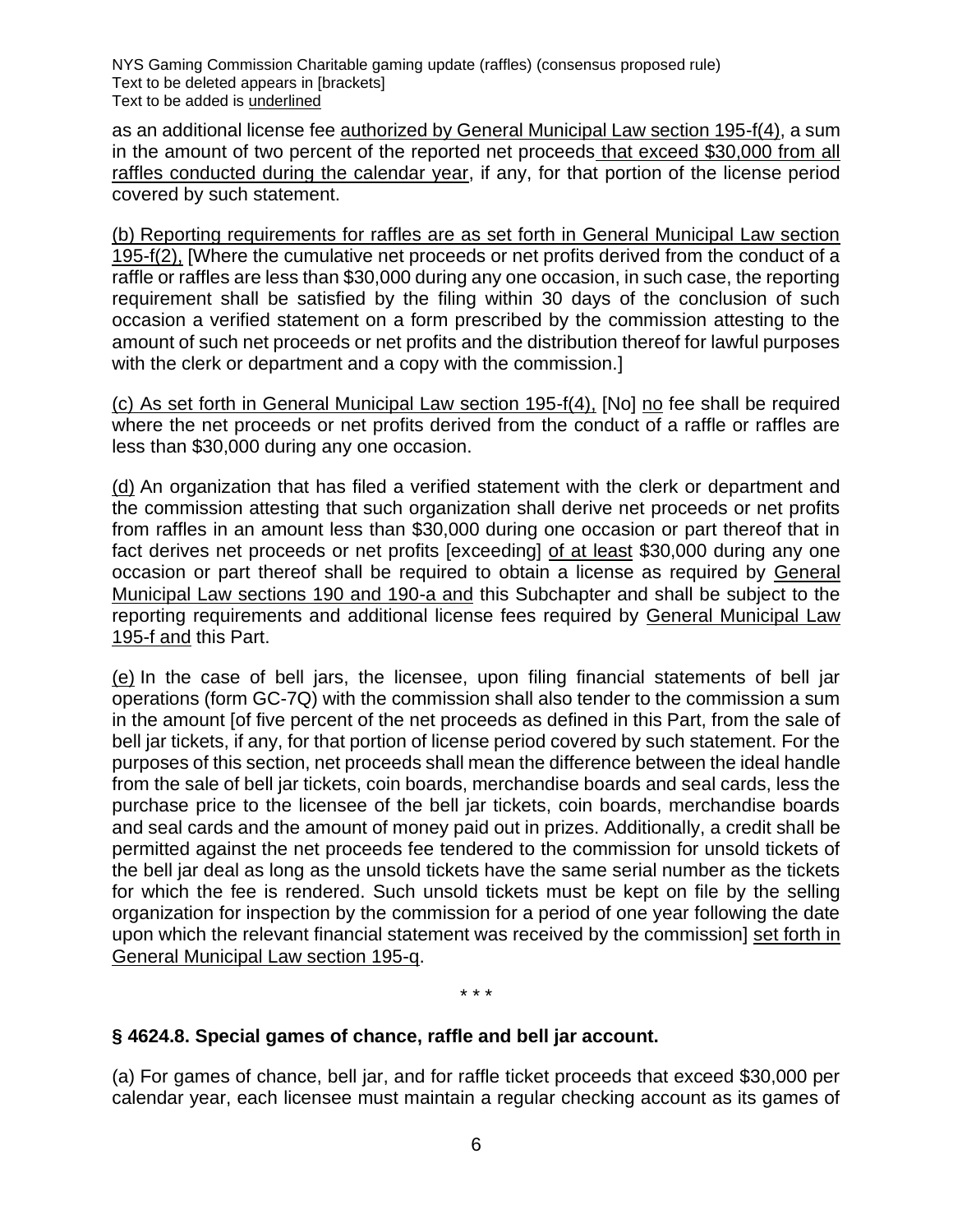as an additional license fee authorized by General Municipal Law section 195-f(4), a sum in the amount of two percent of the reported net proceeds that exceed \$30,000 from all raffles conducted during the calendar year, if any, for that portion of the license period covered by such statement.

(b) Reporting requirements for raffles are as set forth in General Municipal Law section 195-f(2), [Where the cumulative net proceeds or net profits derived from the conduct of a raffle or raffles are less than \$30,000 during any one occasion, in such case, the reporting requirement shall be satisfied by the filing within 30 days of the conclusion of such occasion a verified statement on a form prescribed by the commission attesting to the amount of such net proceeds or net profits and the distribution thereof for lawful purposes with the clerk or department and a copy with the commission.]

(c) As set forth in General Municipal Law section 195-f(4), [No] no fee shall be required where the net proceeds or net profits derived from the conduct of a raffle or raffles are less than \$30,000 during any one occasion.

(d) An organization that has filed a verified statement with the clerk or department and the commission attesting that such organization shall derive net proceeds or net profits from raffles in an amount less than \$30,000 during one occasion or part thereof that in fact derives net proceeds or net profits [exceeding] of at least \$30,000 during any one occasion or part thereof shall be required to obtain a license as required by General Municipal Law sections 190 and 190-a and this Subchapter and shall be subject to the reporting requirements and additional license fees required by General Municipal Law 195-f and this Part.

(e) In the case of bell jars, the licensee, upon filing financial statements of bell jar operations (form GC-7Q) with the commission shall also tender to the commission a sum in the amount [of five percent of the net proceeds as defined in this Part, from the sale of bell jar tickets, if any, for that portion of license period covered by such statement. For the purposes of this section, net proceeds shall mean the difference between the ideal handle from the sale of bell jar tickets, coin boards, merchandise boards and seal cards, less the purchase price to the licensee of the bell jar tickets, coin boards, merchandise boards and seal cards and the amount of money paid out in prizes. Additionally, a credit shall be permitted against the net proceeds fee tendered to the commission for unsold tickets of the bell jar deal as long as the unsold tickets have the same serial number as the tickets for which the fee is rendered. Such unsold tickets must be kept on file by the selling organization for inspection by the commission for a period of one year following the date upon which the relevant financial statement was received by the commission] set forth in General Municipal Law section 195-q.

\* \* \*

# **§ 4624.8. Special games of chance, raffle and bell jar account.**

(a) For games of chance, bell jar, and for raffle ticket proceeds that exceed \$30,000 per calendar year, each licensee must maintain a regular checking account as its games of